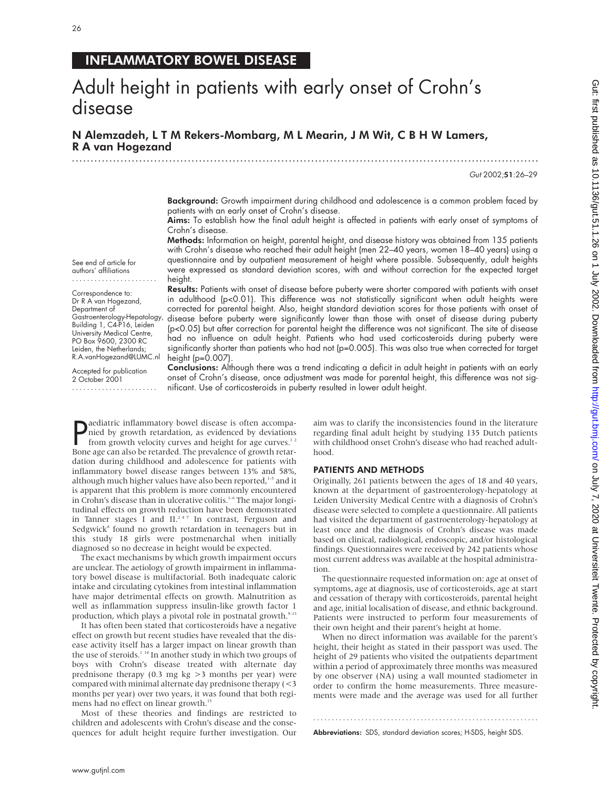## INFLAMMATORY BOWEL DISEASE

# Adult height in patients with early onset of Crohn's disease

N Alemzadeh,LTM Rekers-Mombarg, M L Mearin, J M Wit, C B H W Lamers, R A van Hogezand .............................................................................................................................

Gut 2002;51:26–29

Background: Growth impairment during childhood and adolescence is a common problem faced by patients with an early onset of Crohn's disease.

Aims: To establish how the final adult height is affected in patients with early onset of symptoms of Crohn's disease.

Methods: Information on height, parental height, and disease history was obtained from 135 patients with Crohn's disease who reached their adult height (men 22–40 years, women 18–40 years) using a questionnaire and by outpatient measurement of height where possible. Subsequently, adult heights were expressed as standard deviation scores, with and without correction for the expected target height.

See end of article for authors' affiliations .......................

Correspondence to: Dr R A van Hogezand, Department of Gastroenterology-Hepatology, Building 1, C4-P16, Leiden University Medical Centre, PO Box 9600, 2300 RC Leiden, the Netherlands; R.A.vanHogezand@LUMC.nl

Accepted for publication 2 October 2001 .......................

Results: Patients with onset of disease before puberty were shorter compared with patients with onset in adulthood (p<0.01). This difference was not statistically significant when adult heights were corrected for parental height. Also, height standard deviation scores for those patients with onset of disease before puberty were significantly lower than those with onset of disease during puberty (p<0.05) but after correction for parental height the difference was not significant. The site of disease had no influence on adult height. Patients who had used corticosteroids during puberty were significantly shorter than patients who had not (p=0.005). This was also true when corrected for target height  $(p=0.007)$ 

Conclusions: Although there was a trend indicating a deficit in adult height in patients with an early onset of Crohn's disease, once adjustment was made for parental height, this difference was not significant. Use of corticosteroids in puberty resulted in lower adult height.

**P**aediatric inflammatory bowel disease is often accompa-<br>nied by growth retardation, as evidenced by deviations<br>from growth velocity curves and height for age curves.<sup>12</sup><br>Bone age can also be retarded. The prevalence of g aediatric inflammatory bowel disease is often accompanied by growth retardation, as evidenced by deviations from growth velocity curves and height for age curves.<sup>12</sup> dation during childhood and adolescence for patients with inflammatory bowel disease ranges between 13% and 58%, although much higher values have also been reported,<sup>1-5</sup> and it is apparent that this problem is more commonly encountered in Crohn's disease than in ulcerative colitis.<sup>1-6</sup> The major longitudinal effects on growth reduction have been demonstrated in Tanner stages I and II.<sup>247</sup> In contrast, Ferguson and Sedgwick $s$  found no growth retardation in teenagers but in this study 18 girls were postmenarchal when initially diagnosed so no decrease in height would be expected.

The exact mechanisms by which growth impairment occurs are unclear. The aetiology of growth impairment in inflammatory bowel disease is multifactorial. Both inadequate caloric intake and circulating cytokines from intestinal inflammation have major detrimental effects on growth. Malnutrition as well as inflammation suppress insulin-like growth factor 1 production, which plays a pivotal role in postnatal growth.<sup>9-13</sup>

It has often been stated that corticosteroids have a negative effect on growth but recent studies have revealed that the disease activity itself has a larger impact on linear growth than the use of steroids.<sup>114</sup> In another study in which two groups of boys with Crohn's disease treated with alternate day prednisone therapy (0.3 mg kg >3 months per year) were compared with minimal alternate day prednisone therapy (<3 months per year) over two years, it was found that both regimens had no effect on linear growth.<sup>15</sup>

Most of these theories and findings are restricted to children and adolescents with Crohn's disease and the consequences for adult height require further investigation. Our

aim was to clarify the inconsistencies found in the literature regarding final adult height by studying 135 Dutch patients with childhood onset Crohn's disease who had reached adulthood.

#### PATIENTS AND METHODS

Originally, 261 patients between the ages of 18 and 40 years, known at the department of gastroenterology-hepatology at Leiden University Medical Centre with a diagnosis of Crohn's disease were selected to complete a questionnaire. All patients had visited the department of gastroenterology-hepatology at least once and the diagnosis of Crohn's disease was made based on clinical, radiological, endoscopic, and/or histological findings. Questionnaires were received by 242 patients whose most current address was available at the hospital administration.

The questionnaire requested information on: age at onset of symptoms, age at diagnosis, use of corticosteroids, age at start and cessation of therapy with corticosteroids, parental height and age, initial localisation of disease, and ethnic background. Patients were instructed to perform four measurements of their own height and their parent's height at home.

When no direct information was available for the parent's height, their height as stated in their passport was used. The height of 29 patients who visited the outpatients department within a period of approximately three months was measured by one observer (NA) using a wall mounted stadiometer in order to confirm the home measurements. Three measurements were made and the average was used for all further

Abbreviations: SDS, standard deviation scores; H-SDS, height SDS.

.............................................................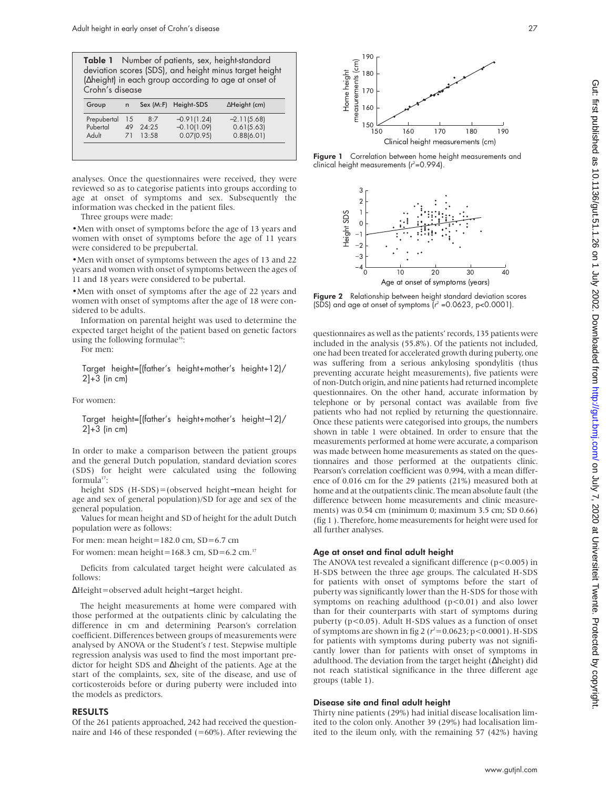|                 | <b>Table 1</b> Number of patients, sex, height-standard |
|-----------------|---------------------------------------------------------|
|                 | deviation scores (SDS), and height minus target height  |
|                 | (Aheight) in each group according to age at onset of    |
| Crohn's disease |                                                         |

| Group       | n         |       | Sex (M:F) Height-SDS | $\Delta$ Height (cm) |
|-------------|-----------|-------|----------------------|----------------------|
| Prepubertal | 15        | 8.7   | $-0.91(1.24)$        | $-2.11(5.68)$        |
| Pubertal    | 49        | 24.25 | $-0.10(1.09)$        | 0.61(5.63)           |
| Adult       | <b>71</b> | 13.58 | 0.07(0.95)           | 0.88(6.01)           |

analyses. Once the questionnaires were received, they were reviewed so as to categorise patients into groups according to age at onset of symptoms and sex. Subsequently the information was checked in the patient files.

Three groups were made:

•Men with onset of symptoms before the age of 13 years and women with onset of symptoms before the age of 11 years were considered to be prepubertal.

•Men with onset of symptoms between the ages of 13 and 22 years and women with onset of symptoms between the ages of 11 and 18 years were considered to be pubertal.

•Men with onset of symptoms after the age of 22 years and women with onset of symptoms after the age of 18 were considered to be adults.

Information on parental height was used to determine the expected target height of the patient based on genetic factors using the following formulae<sup>16</sup>:

For men:

Target height=[(father's height+mother's height+12)/  $2]+3$  (in cm)

For women:

Target height=[(father's height+mother's height−12)/ 2]+3 (in cm)

In order to make a comparison between the patient groups and the general Dutch population, standard deviation scores (SDS) for height were calculated using the following formula<sup>17</sup>:

height SDS (H-SDS)=(observed height−mean height for age and sex of general population)/SD for age and sex of the general population.

Values for mean height and SD of height for the adult Dutch population were as follows:

For men: mean height=182.0 cm, SD=6.7 cm

For women: mean height=168.3 cm,  $SD=6.2$  cm.<sup>17</sup>

Deficits from calculated target height were calculated as follows:

∆Height=observed adult height−target height.

The height measurements at home were compared with those performed at the outpatients clinic by calculating the difference in cm and determining Pearson's correlation coefficient. Differences between groups of measurements were analysed by ANOVA or the Student's *t* test. Stepwise multiple regression analysis was used to find the most important predictor for height SDS and ∆height of the patients. Age at the start of the complaints, sex, site of the disease, and use of corticosteroids before or during puberty were included into the models as predictors.

#### RESULTS

Of the 261 patients approached, 242 had received the questionnaire and 146 of these responded  $(=60\%)$ . After reviewing the



Figure 1 Correlation between home height measurements and clinical height measurements ( $r^2$ =0.994).



Figure 2 Relationship between height standard deviation scores (SDS) and age at onset of symptoms ( $r^2$  =0.0623, p<0.0001).

questionnaires as well as the patients' records, 135 patients were included in the analysis (55.8%). Of the patients not included, one had been treated for accelerated growth during puberty, one was suffering from a serious ankylosing spondylitis (thus preventing accurate height measurements), five patients were of non-Dutch origin, and nine patients had returned incomplete questionnaires. On the other hand, accurate information by telephone or by personal contact was available from five patients who had not replied by returning the questionnaire. Once these patients were categorised into groups, the numbers shown in table 1 were obtained. In order to ensure that the measurements performed at home were accurate, a comparison was made between home measurements as stated on the questionnaires and those performed at the outpatients clinic. Pearson's correlation coefficient was 0.994, with a mean difference of 0.016 cm for the 29 patients (21%) measured both at home and at the outpatients clinic. The mean absolute fault (the difference between home measurements and clinic measurements) was 0.54 cm (minimum 0; maximum 3.5 cm; SD 0.66) (fig 1 ). Therefore, home measurements for height were used for all further analyses.

#### Age at onset and final adult height

The ANOVA test revealed a significant difference ( $p$ <0.005) in H-SDS between the three age groups. The calculated H-SDS for patients with onset of symptoms before the start of puberty was significantly lower than the H-SDS for those with symptoms on reaching adulthood  $(p<0.01)$  and also lower than for their counterparts with start of symptoms during puberty (p<0.05). Adult H-SDS values as a function of onset of symptoms are shown in fig 2 ( $r^2$ =0.0623; p<0.0001). H-SDS for patients with symptoms during puberty was not significantly lower than for patients with onset of symptoms in adulthood. The deviation from the target height (∆height) did not reach statistical significance in the three different age groups (table 1).

#### Disease site and final adult height

Thirty nine patients (29%) had initial disease localisation limited to the colon only. Another 39 (29%) had localisation limited to the ileum only, with the remaining 57 (42%) having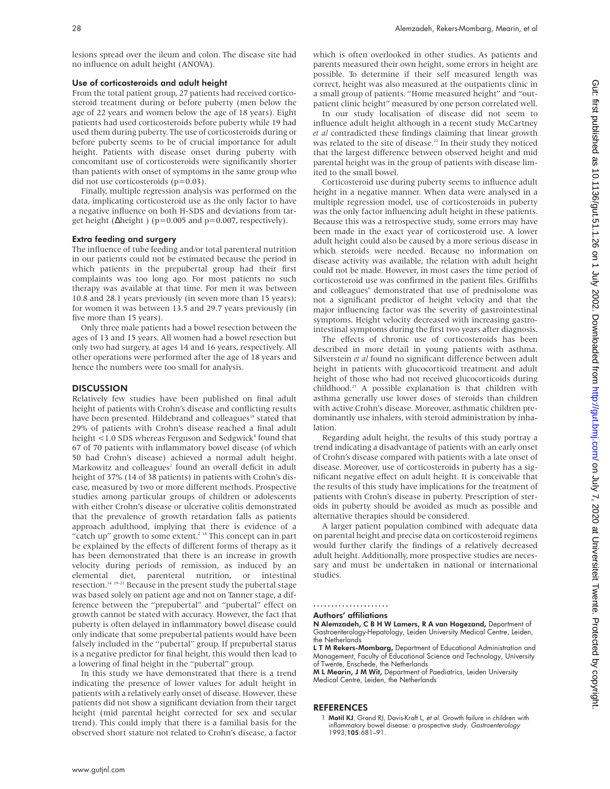lesions spread over the ileum and colon. The disease site had no influence on adult height (ANOVA).

#### Use of corticosteroids and adult height

From the total patient group, 27 patients had received corticosteroid treatment during or before puberty (men below the age of 22 years and women below the age of 18 years). Eight patients had used corticosteroids before puberty while 19 had used them during puberty. The use of corticosteroids during or before puberty seems to be of crucial importance for adult height. Patients with disease onset during puberty with concomitant use of corticosteroids were significantly shorter than patients with onset of symptoms in the same group who did not use corticosteroids (p=0.03).

Finally, multiple regression analysis was performed on the data, implicating corticosteroid use as the only factor to have a negative influence on both H-SDS and deviations from target height ( $\Delta$ height) (p=0.005 and p=0.007, respectively).

#### Extra feeding and surgery

The influence of tube feeding and/or total parenteral nutrition in our patients could not be estimated because the period in which patients in the prepubertal group had their first complaints was too long ago. For most patients no such therapy was available at that time. For men it was between 10.8 and 28.1 years previously (in seven more than 15 years); for women it was between 13.5 and 29.7 years previously (in five more than 15 years).

Only three male patients had a bowel resection between the ages of 13 and 15 years. All women had a bowel resection but only two had surgery, at ages 14 and 16 years, respectively. All other operations were performed after the age of 18 years and hence the numbers were too small for analysis.

#### **DISCUSSION**

Relatively few studies have been published on final adult height of patients with Crohn's disease and conflicting results have been presented. Hildebrand and colleagues<sup>18</sup> stated that 29% of patients with Crohn's disease reached a final adult height  $<$  1.0 SDS whereas Ferguson and Sedgwick<sup>8</sup> found that 67 of 70 patients with inflammatory bowel disease (of which 50 had Crohn's disease) achieved a normal adult height. Markowitz and colleagues<sup>2</sup> found an overall deficit in adult height of 37% (14 of 38 patients) in patients with Crohn's disease, measured by two or more different methods. Prospective studies among particular groups of children or adolescents with either Crohn's disease or ulcerative colitis demonstrated that the prevalence of growth retardation falls as patients approach adulthood, implying that there is evidence of a "catch up" growth to some extent.<sup>2 18</sup> This concept can in part be explained by the effects of different forms of therapy as it has been demonstrated that there is an increase in growth velocity during periods of remission, as induced by an elemental diet, parenteral nutrition, or intestinal resection.14 19–21 Because in the present study the pubertal stage was based solely on patient age and not on Tanner stage, a difference between the "prepubertal" and "pubertal" effect on growth cannot be stated with accuracy. However, the fact that puberty is often delayed in inflammatory bowel disease could only indicate that some prepubertal patients would have been falsely included in the "pubertal" group. If prepubertal status is a negative predictor for final height, this would then lead to a lowering of final height in the "pubertal" group.

In this study we have demonstrated that there is a trend indicating the presence of lower values for adult height in patients with a relatively early onset of disease. However, these patients did not show a significant deviation from their target height (mid parental height corrected for sex and secular trend). This could imply that there is a familial basis for the observed short stature not related to Crohn's disease, a factor

which is often overlooked in other studies. As patients and parents measured their own height, some errors in height are possible. To determine if their self measured length was correct, height was also measured at the outpatients clinic in a small group of patients. "Home measured height" and "outpatient clinic height" measured by one person correlated well.

In our study localisation of disease did not seem to influence adult height although in a recent study McCartney *et al* contradicted these findings claiming that linear growth was related to the site of disease.<sup>22</sup> In their study they noticed that the largest difference between observed height and mid parental height was in the group of patients with disease limited to the small bowel.

Corticosteroid use during puberty seems to influence adult height in a negative manner. When data were analysed in a multiple regression model, use of corticosteroids in puberty was the only factor influencing adult height in these patients. Because this was a retrospective study, some errors may have been made in the exact year of corticosteroid use. A lower adult height could also be caused by a more serious disease in which steroids were needed. Because no information on disease activity was available, the relation with adult height could not be made. However, in most cases the time period of corticosteroid use was confirmed in the patient files. Griffiths and colleagues<sup>6</sup> demonstrated that use of prednisolone was not a significant predictor of height velocity and that the major influencing factor was the severity of gastrointestinal symptoms. Height velocity decreased with increasing gastrointestinal symptoms during the first two years after diagnosis.

The effects of chronic use of corticosteroids has been described in more detail in young patients with asthma. Silverstein *et al* found no significant difference between adult height in patients with glucocorticoid treatment and adult height of those who had not received glucocorticoids during childhood.23 A possible explanation is that children with asthma generally use lower doses of steroids than children with active Crohn's disease. Moreover, asthmatic children predominantly use inhalers, with steroid administration by inhalation.

Regarding adult height, the results of this study portray a trend indicating a disadvantage of patients with an early onset of Crohn's disease compared with patients with a late onset of disease. Moreover, use of corticosteroids in puberty has a significant negative effect on adult height. It is conceivable that the results of this study have implications for the treatment of patients with Crohn's disease in puberty. Prescription of steroids in puberty should be avoided as much as possible and alternative therapies should be considered.

A larger patient population combined with adequate data on parental height and precise data on corticosteroid regimens would further clarify the findings of a relatively decreased adult height. Additionally, more prospective studies are necessary and must be undertaken in national or international studies.

## .....................

Authors' affiliations

N Alemzadeh, C B H W Lamers, R A van Hogezand, Department of Gastroenterology-Hepatology, Leiden University Medical Centre, Leiden, the Netherlands

**L T M Rekers-Mombarg,** Department of Educational Administration and<br>Management, Faculty of Educational Science and Technology, University of Twente, Enschede, the Netherlands

M L Mearin, J M Wit, Department of Paediatrics, Leiden University Medical Centre, Leiden, the Netherlands

#### REFERENCES

1 Motil KJ, Grand RJ, Davis-Kraft L, et al. Growth failure in children with inflammatory bowel disease: a prospective study. Gastroenterology 1993;105:681–91.